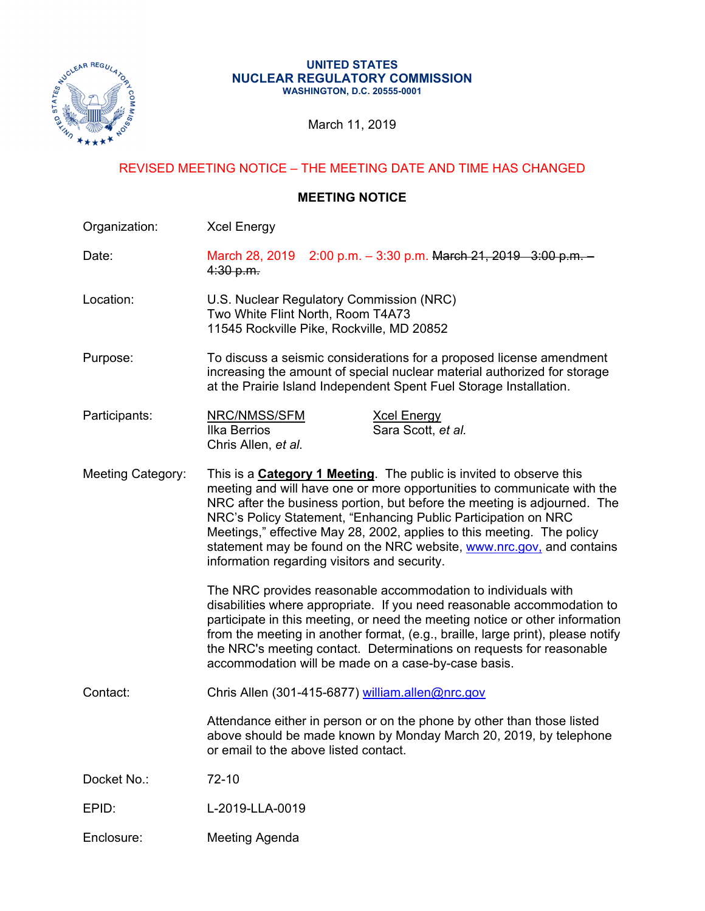

#### **UNITED STATES NUCLEAR REGULATORY COMMISSION WASHINGTON, D.C. 20555-0001**

March 11, 2019

## REVISED MEETING NOTICE – THE MEETING DATE AND TIME HAS CHANGED

### **MEETING NOTICE**

Organization: Xcel Energy

Date: March 28, 2019 2:00 p.m. – 3:30 p.m. March 21, 2019 3:00 p.m. –  $4:30 p.m.$ 

- Location: U.S. Nuclear Regulatory Commission (NRC) Two White Flint North, Room T4A73 11545 Rockville Pike, Rockville, MD 20852
- Purpose: To discuss a seismic considerations for a proposed license amendment increasing the amount of special nuclear material authorized for storage at the Prairie Island Independent Spent Fuel Storage Installation.
- Participants: NRC/NMSS/SFM Xcel Energy Ilka Berrios Sara Scott, *et al.* Chris Allen, *et al.*
- Meeting Category: This is a **Category 1 Meeting**. The public is invited to observe this meeting and will have one or more opportunities to communicate with the NRC after the business portion, but before the meeting is adjourned. The NRC's Policy Statement, "Enhancing Public Participation on NRC Meetings," effective May 28, 2002, applies to this meeting. The policy statement may be found on the NRC website, www.nrc.gov, and contains information regarding visitors and security.

The NRC provides reasonable accommodation to individuals with disabilities where appropriate. If you need reasonable accommodation to participate in this meeting, or need the meeting notice or other information from the meeting in another format, (e.g., braille, large print), please notify the NRC's meeting contact. Determinations on requests for reasonable accommodation will be made on a case-by-case basis.

Contact: Chris Allen (301-415-6877) william.allen@nrc.gov

Attendance either in person or on the phone by other than those listed above should be made known by Monday March 20, 2019, by telephone or email to the above listed contact.

- Docket No.: 72-10
- EPID: L-2019-LLA-0019
- Enclosure: Meeting Agenda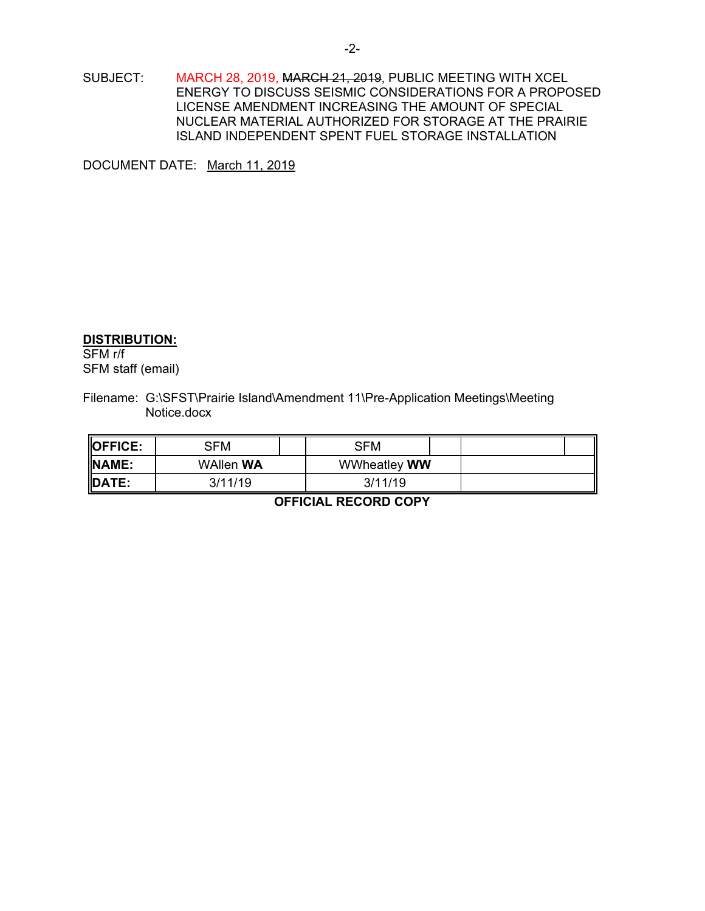### SUBJECT: MARCH 28, 2019, MARCH 21, 2019, PUBLIC MEETING WITH XCEL ENERGY TO DISCUSS SEISMIC CONSIDERATIONS FOR A PROPOSED LICENSE AMENDMENT INCREASING THE AMOUNT OF SPECIAL NUCLEAR MATERIAL AUTHORIZED FOR STORAGE AT THE PRAIRIE ISLAND INDEPENDENT SPENT FUEL STORAGE INSTALLATION

DOCUMENT DATE: March 11, 2019

### **DISTRIBUTION:**

SFM r/f SFM staff (email)

Filename: G:\SFST\Prairie Island\Amendment 11\Pre-Application Meetings\Meeting Notice.docx

| <b>OFFICE:</b> | SFM              |  | SFM                 |  |  |
|----------------|------------------|--|---------------------|--|--|
| <b>NAME:</b>   | <b>WAllen WA</b> |  | WWheatley <b>WW</b> |  |  |
| <b>DATE:</b>   | 3/11/19          |  | 3/11/19             |  |  |

**OFFICIAL RECORD COPY**